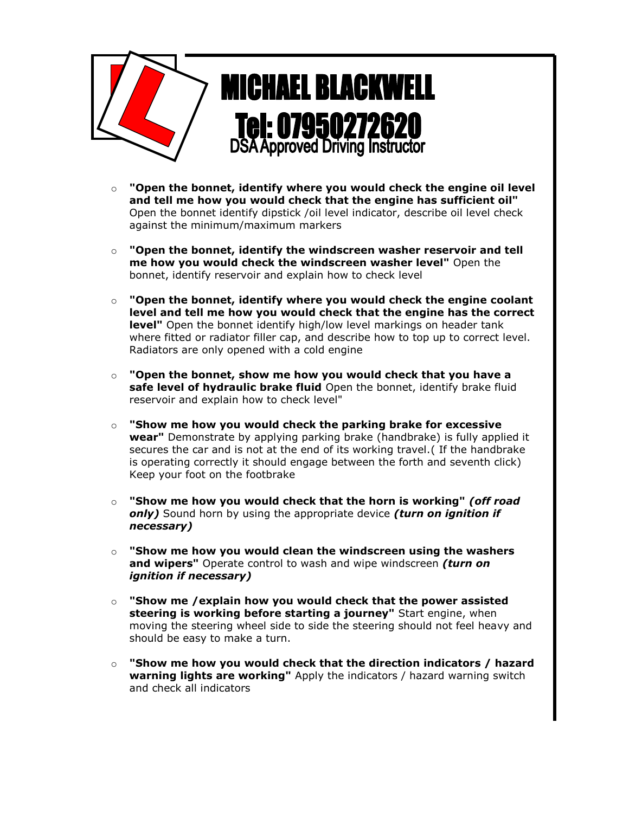

- o **"Open the bonnet, identify where you would check the engine oil level and tell me how you would check that the engine has sufficient oil"** Open the bonnet identify dipstick /oil level indicator, describe oil level check against the minimum/maximum markers
- o **"Open the bonnet, identify the windscreen washer reservoir and tell me how you would check the windscreen washer level"** Open the bonnet, identify reservoir and explain how to check level
- o **"Open the bonnet, identify where you would check the engine coolant level and tell me how you would check that the engine has the correct level"** Open the bonnet identify high/low level markings on header tank where fitted or radiator filler cap, and describe how to top up to correct level. Radiators are only opened with a cold engine
- o **"Open the bonnet, show me how you would check that you have a safe level of hydraulic brake fluid** Open the bonnet, identify brake fluid reservoir and explain how to check level"
- o **"Show me how you would check the parking brake for excessive wear"** Demonstrate by applying parking brake (handbrake) is fully applied it secures the car and is not at the end of its working travel.( If the handbrake is operating correctly it should engage between the forth and seventh click) Keep your foot on the footbrake
- o **"Show me how you would check that the horn is working"** *(off road only)* Sound horn by using the appropriate device *(turn on ignition if necessary)*
- o **"Show me how you would clean the windscreen using the washers and wipers"** Operate control to wash and wipe windscreen *(turn on ignition if necessary)*
- o **"Show me /explain how you would check that the power assisted steering is working before starting a journey"** Start engine, when moving the steering wheel side to side the steering should not feel heavy and should be easy to make a turn.
- o **"Show me how you would check that the direction indicators / hazard warning lights are working"** Apply the indicators / hazard warning switch and check all indicators